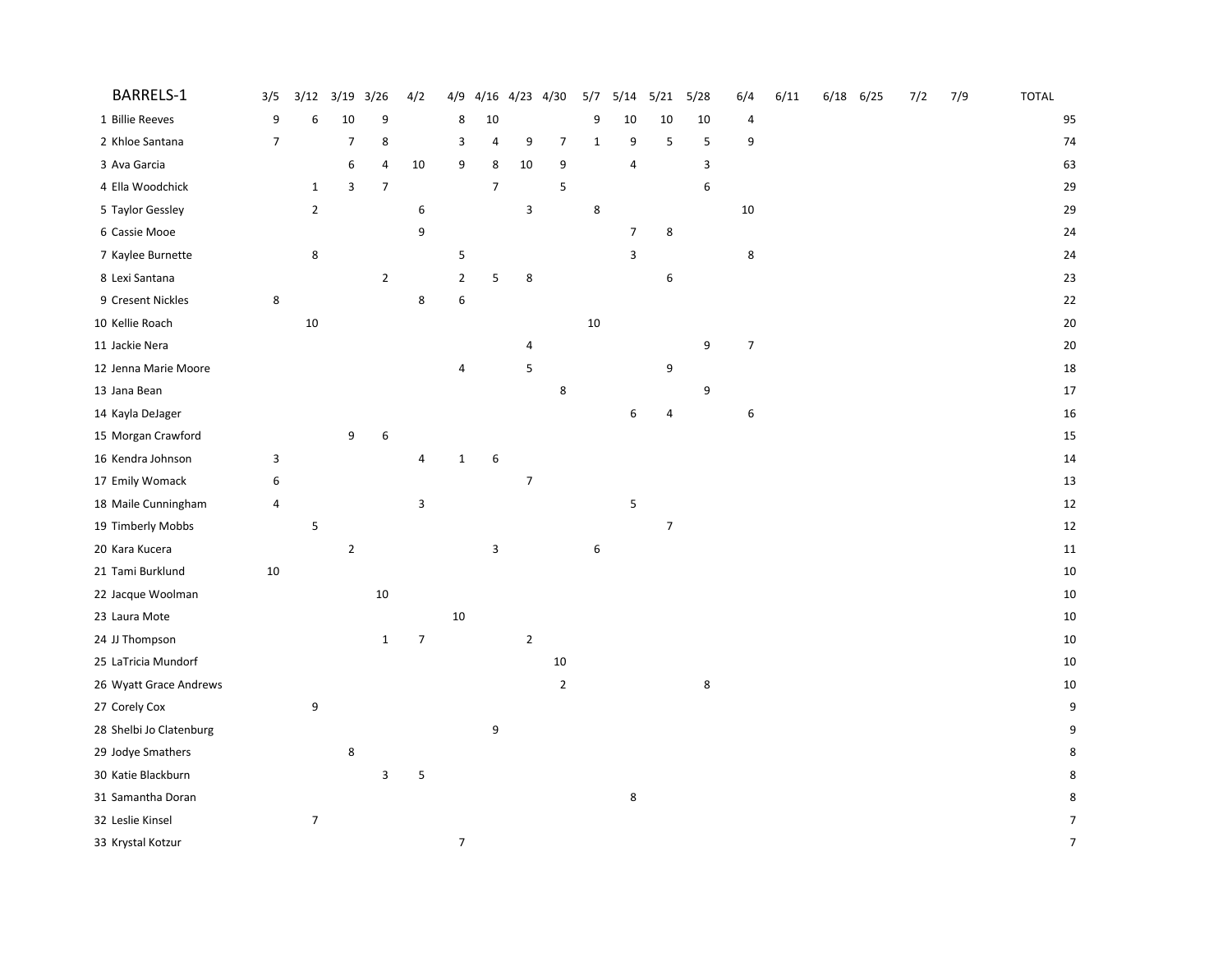| BARRELS-1               | 3/5              | 3/12             | 3/19           | 3/26        | 4/2            | 4/9              | 4/16           | 4/23 4/30        |                | 5/7          | 5/14           | 5/21             | 5/28    | 6/4              | 6/11 | $6/18$ $6/25$ | 7/2 | 7/9 | <b>TOTAL</b>   |
|-------------------------|------------------|------------------|----------------|-------------|----------------|------------------|----------------|------------------|----------------|--------------|----------------|------------------|---------|------------------|------|---------------|-----|-----|----------------|
| 1 Billie Reeves         | 9                | 6                | 10             | 9           |                | 8                | 10             |                  |                | 9            | 10             | 10               | 10      | 4                |      |               |     |     | 95             |
| 2 Khloe Santana         | $\boldsymbol{7}$ |                  | $\overline{7}$ | 8           |                | 3                | 4              | 9                | $\overline{7}$ | $\mathbf{1}$ | 9              | 5                | 5       | 9                |      |               |     |     | 74             |
| 3 Ava Garcia            |                  |                  | 6              | 4           | 10             | 9                | 8              | 10               | 9              |              | 4              |                  | 3       |                  |      |               |     |     | 63             |
| 4 Ella Woodchick        |                  | $\mathbf{1}$     | 3              | 7           |                |                  | $\overline{7}$ |                  | 5              |              |                |                  | 6       |                  |      |               |     |     | 29             |
| 5 Taylor Gessley        |                  | $\overline{2}$   |                |             | 6              |                  |                | 3                |                | 8            |                |                  |         | $10\,$           |      |               |     |     | 29             |
| 6 Cassie Mooe           |                  |                  |                |             | 9              |                  |                |                  |                |              | $\overline{7}$ | 8                |         |                  |      |               |     |     | 24             |
| 7 Kaylee Burnette       |                  | 8                |                |             |                | 5                |                |                  |                |              | 3              |                  |         | 8                |      |               |     |     | 24             |
| 8 Lexi Santana          |                  |                  |                | $\mathbf 2$ |                | $\overline{2}$   | 5              | 8                |                |              |                | 6                |         |                  |      |               |     |     | 23             |
| 9 Cresent Nickles       | 8                |                  |                |             | 8              | $\boldsymbol{6}$ |                |                  |                |              |                |                  |         |                  |      |               |     |     | 22             |
| 10 Kellie Roach         |                  | $10\,$           |                |             |                |                  |                |                  |                | 10           |                |                  |         |                  |      |               |     |     | 20             |
| 11 Jackie Nera          |                  |                  |                |             |                |                  |                | 4                |                |              |                |                  | 9       | $\boldsymbol{7}$ |      |               |     |     | 20             |
| 12 Jenna Marie Moore    |                  |                  |                |             |                | 4                |                | 5                |                |              |                | 9                |         |                  |      |               |     |     | 18             |
| 13 Jana Bean            |                  |                  |                |             |                |                  |                |                  | 8              |              |                |                  | 9       |                  |      |               |     |     | 17             |
| 14 Kayla DeJager        |                  |                  |                |             |                |                  |                |                  |                |              | 6              | 4                |         | 6                |      |               |     |     | 16             |
| 15 Morgan Crawford      |                  |                  | 9              | 6           |                |                  |                |                  |                |              |                |                  |         |                  |      |               |     |     | 15             |
| 16 Kendra Johnson       | 3                |                  |                |             | 4              | $\mathbf 1$      | 6              |                  |                |              |                |                  |         |                  |      |               |     |     | 14             |
| 17 Emily Womack         | 6                |                  |                |             |                |                  |                | $\boldsymbol{7}$ |                |              |                |                  |         |                  |      |               |     |     | 13             |
| 18 Maile Cunningham     | 4                |                  |                |             | 3              |                  |                |                  |                |              | 5              |                  |         |                  |      |               |     |     | 12             |
| 19 Timberly Mobbs       |                  | 5                |                |             |                |                  |                |                  |                |              |                | $\boldsymbol{7}$ |         |                  |      |               |     |     | 12             |
| 20 Kara Kucera          |                  |                  | $\mathbf 2$    |             |                |                  | 3              |                  |                | 6            |                |                  |         |                  |      |               |     |     | $11\,$         |
| 21 Tami Burklund        | $10\,$           |                  |                |             |                |                  |                |                  |                |              |                |                  |         |                  |      |               |     |     | 10             |
| 22 Jacque Woolman       |                  |                  |                | $10\,$      |                |                  |                |                  |                |              |                |                  |         |                  |      |               |     |     | 10             |
| 23 Laura Mote           |                  |                  |                |             |                | 10               |                |                  |                |              |                |                  |         |                  |      |               |     |     | 10             |
| 24 JJ Thompson          |                  |                  |                | $\mathbf 1$ | $\overline{7}$ |                  |                | $\overline{2}$   |                |              |                |                  |         |                  |      |               |     |     | 10             |
| 25 LaTricia Mundorf     |                  |                  |                |             |                |                  |                |                  | $10\,$         |              |                |                  |         |                  |      |               |     |     | 10             |
| 26 Wyatt Grace Andrews  |                  |                  |                |             |                |                  |                |                  | $\mathbf 2$    |              |                |                  | $\bf 8$ |                  |      |               |     |     | 10             |
| 27 Corely Cox           |                  | 9                |                |             |                |                  |                |                  |                |              |                |                  |         |                  |      |               |     |     | 9              |
| 28 Shelbi Jo Clatenburg |                  |                  |                |             |                |                  | 9              |                  |                |              |                |                  |         |                  |      |               |     |     | 9              |
| 29 Jodye Smathers       |                  |                  | 8              |             |                |                  |                |                  |                |              |                |                  |         |                  |      |               |     |     | 8              |
| 30 Katie Blackburn      |                  |                  |                | 3           | 5              |                  |                |                  |                |              |                |                  |         |                  |      |               |     |     | 8              |
| 31 Samantha Doran       |                  |                  |                |             |                |                  |                |                  |                |              | 8              |                  |         |                  |      |               |     |     | 8              |
| 32 Leslie Kinsel        |                  | $\boldsymbol{7}$ |                |             |                |                  |                |                  |                |              |                |                  |         |                  |      |               |     |     | 7              |
| 33 Krystal Kotzur       |                  |                  |                |             |                | $\overline{7}$   |                |                  |                |              |                |                  |         |                  |      |               |     |     | $\overline{7}$ |
|                         |                  |                  |                |             |                |                  |                |                  |                |              |                |                  |         |                  |      |               |     |     |                |